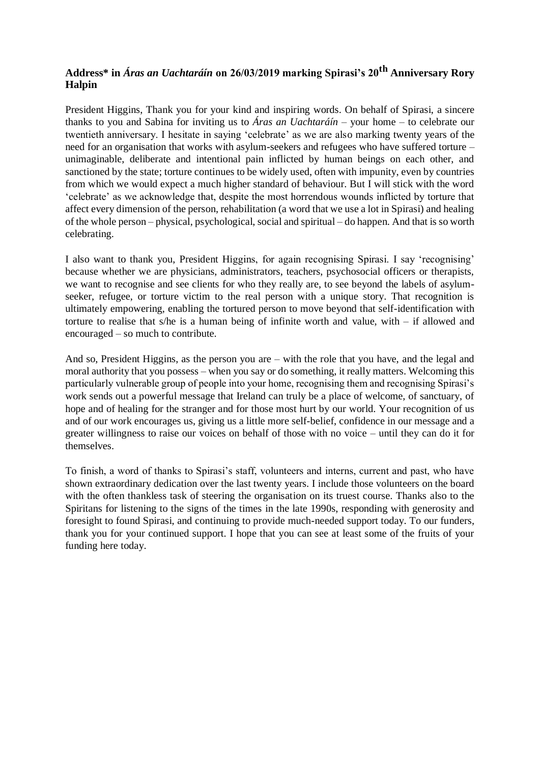## **Address\* in** *Áras an Uachtaráín* **on 26/03/2019 marking Spirasi's 20th Anniversary Rory Halpin**

President Higgins, Thank you for your [kind and inspiring words. O](https://soundcloud.com/presidentirl/speech-at-a-reception-to-mark-the-20th-anniversary-of-spirasi)n behalf of [Spirasi, a](http://spirasi.ie/) sincere thanks to you and Sabina for inviting us to *Áras an Uachtaráín* – your home – to celebrate our twentieth anniversary. I hesitate in saying 'celebrate' as we are also marking twenty years of the need for an organisation that works with asylum-seekers and refugees who have suffered torture – unimaginable, deliberate and intentional pain inflicted by human beings on each other, and sanctioned by the state; torture continues to be widely used, often with impunity, even by countries from which we would expect a much higher standard of behaviour. But I will stick with the word 'celebrate' as we acknowledge that, despite the most horrendous wounds inflicted by torture that affect every dimension of the person, rehabilitation (a word that we use a lot in Spirasi) and healing of the whole person – physical, psychological, social and spiritual – do happen. And that is so worth celebrating.

I also want to thank you, President Higgins, for again recognising Spirasi. I say 'recognising' because whether we are physicians, administrators, teachers, psychosocial officers or therapists, we want to recognise and see clients for who they really are, to see beyond the labels of asylumseeker, refugee, or torture victim to the real person with a unique story. That recognition is ultimately empowering, enabling the tortured person to move beyond that self-identification with torture to realise that s/he is a human being of infinite worth and value, with – if allowed and encouraged – so much to contribute.

And so, President Higgins, as the person you are – with the role that you have, and the legal and moral authority that you possess – when you say or do something, it really matters. Welcoming this particularly vulnerable group of people into your home, recognising them and recognising Spirasi's work sends out a powerful message that Ireland can truly be a place of welcome, of sanctuary, of hope and of healing for the stranger and for those most hurt by our world. Your recognition of us and of our work encourages us, giving us a little more self-belief, confidence in our message and a greater willingness to raise our voices on behalf of those with no voice – until they can do it for themselves.

To finish, a word of thanks to Spirasi's staff, volunteers and interns, current and past, who have shown extraordinary dedication over the last twenty years. I include those volunteers on the board with the often thankless task of steering the organisation on its truest course. Thanks also to the Spiritans for listening to the signs of the times in the late 1990s, responding with generosity and foresight to found Spirasi, and continuing to provide much-needed support today. To our funders, thank you for your continued support. I hope that you can see at least some of the fruits of your funding here today.